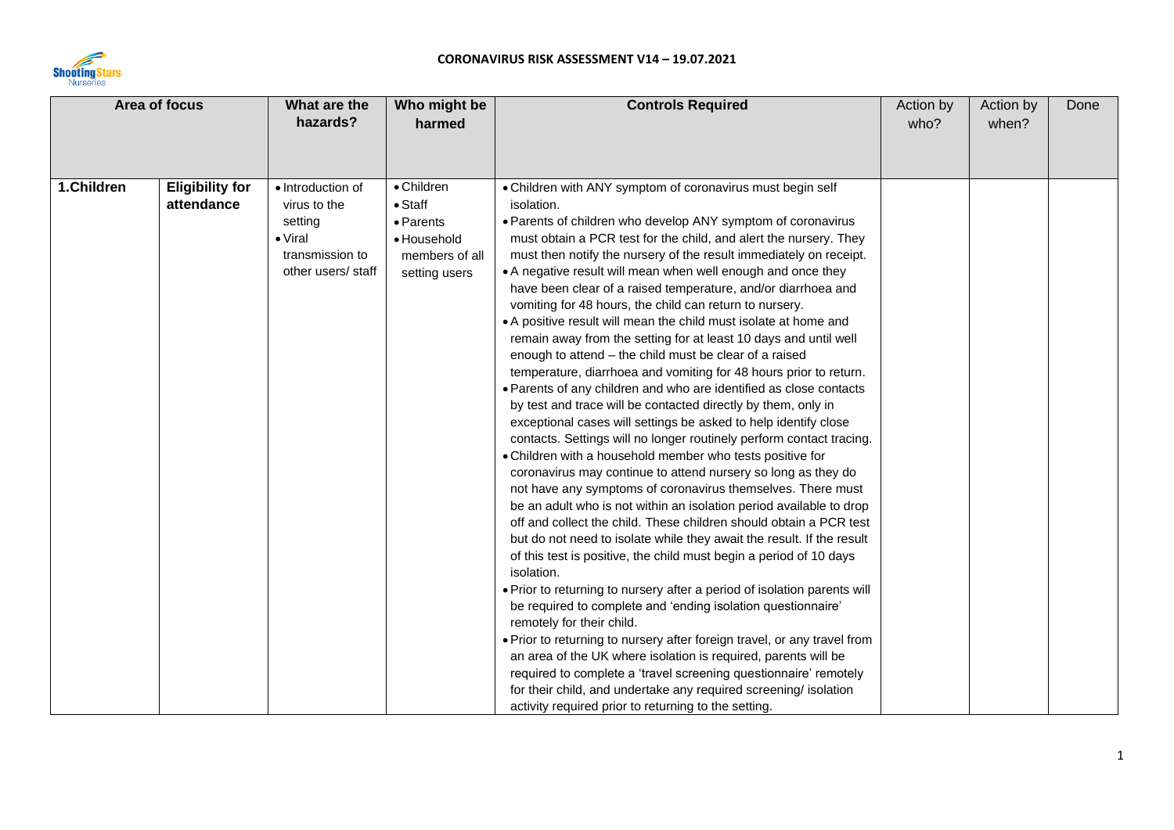

| Area of focus                                      |  | What are the<br>hazards?                                                                                | Who might be                                                                                 | <b>Controls Required</b>                                                                                                                                                                                                                                                                                                                                                                                                                                                                                                                                                                                                                                                                                                                                                                                                                                                                                                                                                                                                                                         | Action by | Action by | Done |
|----------------------------------------------------|--|---------------------------------------------------------------------------------------------------------|----------------------------------------------------------------------------------------------|------------------------------------------------------------------------------------------------------------------------------------------------------------------------------------------------------------------------------------------------------------------------------------------------------------------------------------------------------------------------------------------------------------------------------------------------------------------------------------------------------------------------------------------------------------------------------------------------------------------------------------------------------------------------------------------------------------------------------------------------------------------------------------------------------------------------------------------------------------------------------------------------------------------------------------------------------------------------------------------------------------------------------------------------------------------|-----------|-----------|------|
|                                                    |  |                                                                                                         | harmed                                                                                       |                                                                                                                                                                                                                                                                                                                                                                                                                                                                                                                                                                                                                                                                                                                                                                                                                                                                                                                                                                                                                                                                  | who?      | when?     |      |
|                                                    |  |                                                                                                         |                                                                                              |                                                                                                                                                                                                                                                                                                                                                                                                                                                                                                                                                                                                                                                                                                                                                                                                                                                                                                                                                                                                                                                                  |           |           |      |
| 1.Children<br><b>Eligibility for</b><br>attendance |  | • Introduction of<br>virus to the<br>setting<br>$\bullet$ Viral<br>transmission to<br>other users/staff | • Children<br>$\bullet$ Staff<br>• Parents<br>• Household<br>members of all<br>setting users | • Children with ANY symptom of coronavirus must begin self<br>isolation.<br>. Parents of children who develop ANY symptom of coronavirus<br>must obtain a PCR test for the child, and alert the nursery. They<br>must then notify the nursery of the result immediately on receipt.<br>• A negative result will mean when well enough and once they<br>have been clear of a raised temperature, and/or diarrhoea and<br>vomiting for 48 hours, the child can return to nursery.<br>• A positive result will mean the child must isolate at home and<br>remain away from the setting for at least 10 days and until well                                                                                                                                                                                                                                                                                                                                                                                                                                          |           |           |      |
|                                                    |  |                                                                                                         |                                                                                              | enough to attend - the child must be clear of a raised<br>temperature, diarrhoea and vomiting for 48 hours prior to return.<br>• Parents of any children and who are identified as close contacts<br>by test and trace will be contacted directly by them, only in<br>exceptional cases will settings be asked to help identify close<br>contacts. Settings will no longer routinely perform contact tracing.<br>. Children with a household member who tests positive for<br>coronavirus may continue to attend nursery so long as they do<br>not have any symptoms of coronavirus themselves. There must<br>be an adult who is not within an isolation period available to drop<br>off and collect the child. These children should obtain a PCR test<br>but do not need to isolate while they await the result. If the result<br>of this test is positive, the child must begin a period of 10 days<br>isolation.<br>. Prior to returning to nursery after a period of isolation parents will<br>be required to complete and 'ending isolation questionnaire' |           |           |      |
|                                                    |  |                                                                                                         |                                                                                              | remotely for their child.<br>. Prior to returning to nursery after foreign travel, or any travel from<br>an area of the UK where isolation is required, parents will be<br>required to complete a 'travel screening questionnaire' remotely<br>for their child, and undertake any required screening/ isolation<br>activity required prior to returning to the setting.                                                                                                                                                                                                                                                                                                                                                                                                                                                                                                                                                                                                                                                                                          |           |           |      |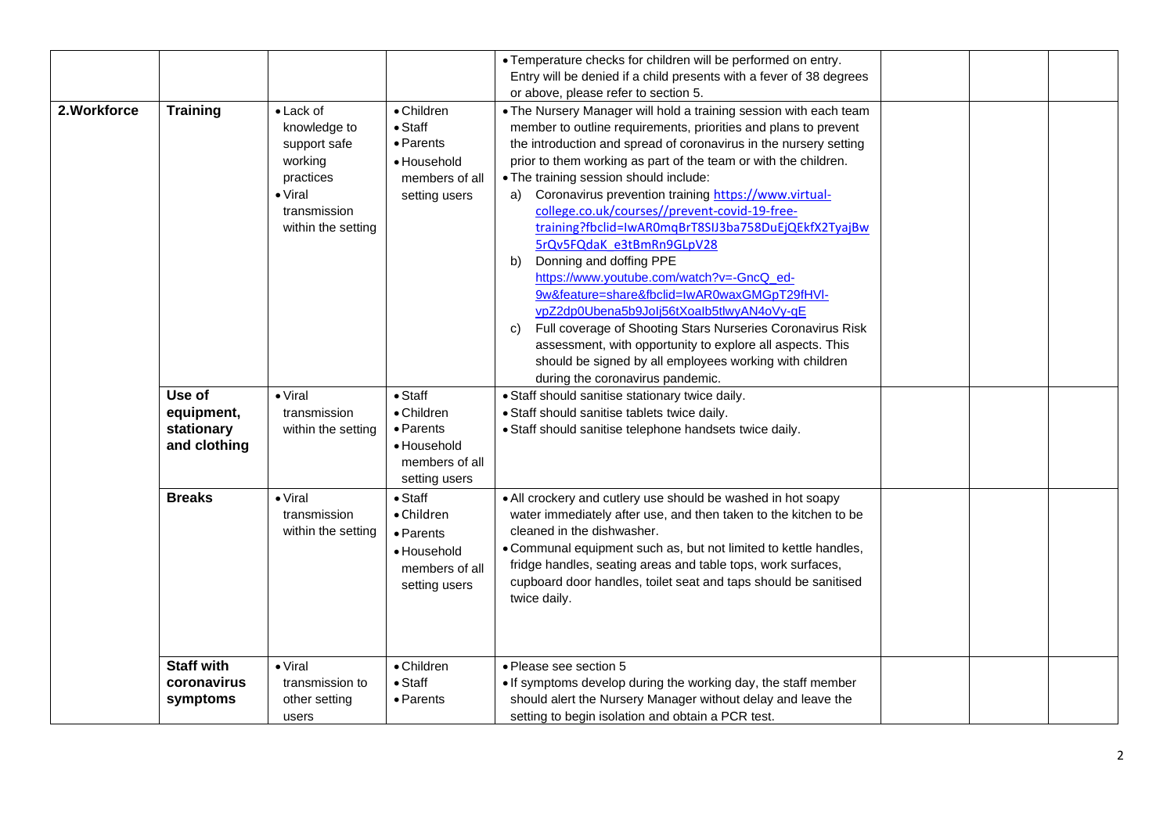|              |                                                    |                                                                                                                                    |                                                                                                      | . Temperature checks for children will be performed on entry.                                                                                                                                                                                                                                                                                                                                                                                                                                                                                                                                                                                                                                                                                                                                                                                                                                     |
|--------------|----------------------------------------------------|------------------------------------------------------------------------------------------------------------------------------------|------------------------------------------------------------------------------------------------------|---------------------------------------------------------------------------------------------------------------------------------------------------------------------------------------------------------------------------------------------------------------------------------------------------------------------------------------------------------------------------------------------------------------------------------------------------------------------------------------------------------------------------------------------------------------------------------------------------------------------------------------------------------------------------------------------------------------------------------------------------------------------------------------------------------------------------------------------------------------------------------------------------|
|              |                                                    |                                                                                                                                    |                                                                                                      | Entry will be denied if a child presents with a fever of 38 degrees                                                                                                                                                                                                                                                                                                                                                                                                                                                                                                                                                                                                                                                                                                                                                                                                                               |
|              |                                                    |                                                                                                                                    |                                                                                                      | or above, please refer to section 5.                                                                                                                                                                                                                                                                                                                                                                                                                                                                                                                                                                                                                                                                                                                                                                                                                                                              |
| 2. Workforce | <b>Training</b>                                    | $\bullet$ Lack of<br>knowledge to<br>support safe<br>working<br>practices<br>$\bullet$ Viral<br>transmission<br>within the setting | • Children<br>$\bullet$ Staff<br>• Parents<br>· Household<br>members of all<br>setting users         | . The Nursery Manager will hold a training session with each team<br>member to outline requirements, priorities and plans to prevent<br>the introduction and spread of coronavirus in the nursery setting<br>prior to them working as part of the team or with the children.<br>. The training session should include:<br>Coronavirus prevention training https://www.virtual-<br>a)<br>college.co.uk/courses//prevent-covid-19-free-<br>training?fbclid=IwAR0mqBrT8SIJ3ba758DuEjQEkfX2TyajBw<br>5rQv5FQdaK e3tBmRn9GLpV28<br>Donning and doffing PPE<br>b)<br>https://www.youtube.com/watch?v=-GncQ_ed-<br>9w&feature=share&fbclid=IwAR0waxGMGpT29fHVI-<br>vpZ2dp0Ubena5b9Jolj56tXoalb5tlwyAN4oVy-qE<br>Full coverage of Shooting Stars Nurseries Coronavirus Risk<br>C)<br>assessment, with opportunity to explore all aspects. This<br>should be signed by all employees working with children |
|              |                                                    |                                                                                                                                    |                                                                                                      | during the coronavirus pandemic.                                                                                                                                                                                                                                                                                                                                                                                                                                                                                                                                                                                                                                                                                                                                                                                                                                                                  |
|              | Use of<br>equipment,<br>stationary<br>and clothing | $\bullet$ Viral<br>transmission<br>within the setting                                                                              | $\bullet$ Staff<br>$\bullet$ Children<br>• Parents<br>• Household<br>members of all<br>setting users | • Staff should sanitise stationary twice daily.<br>• Staff should sanitise tablets twice daily.<br>· Staff should sanitise telephone handsets twice daily.                                                                                                                                                                                                                                                                                                                                                                                                                                                                                                                                                                                                                                                                                                                                        |
|              | <b>Breaks</b>                                      | $\bullet$ Viral<br>transmission<br>within the setting                                                                              | $\bullet$ Staff<br>• Children<br>• Parents<br>• Household<br>members of all<br>setting users         | • All crockery and cutlery use should be washed in hot soapy<br>water immediately after use, and then taken to the kitchen to be<br>cleaned in the dishwasher.<br>. Communal equipment such as, but not limited to kettle handles,<br>fridge handles, seating areas and table tops, work surfaces,<br>cupboard door handles, toilet seat and taps should be sanitised<br>twice daily.                                                                                                                                                                                                                                                                                                                                                                                                                                                                                                             |
|              | <b>Staff with</b><br>coronavirus<br>symptoms       | $\bullet$ Viral<br>transmission to<br>other setting<br>users                                                                       | • Children<br>$\bullet$ Staff<br>• Parents                                                           | · Please see section 5<br>. If symptoms develop during the working day, the staff member<br>should alert the Nursery Manager without delay and leave the<br>setting to begin isolation and obtain a PCR test.                                                                                                                                                                                                                                                                                                                                                                                                                                                                                                                                                                                                                                                                                     |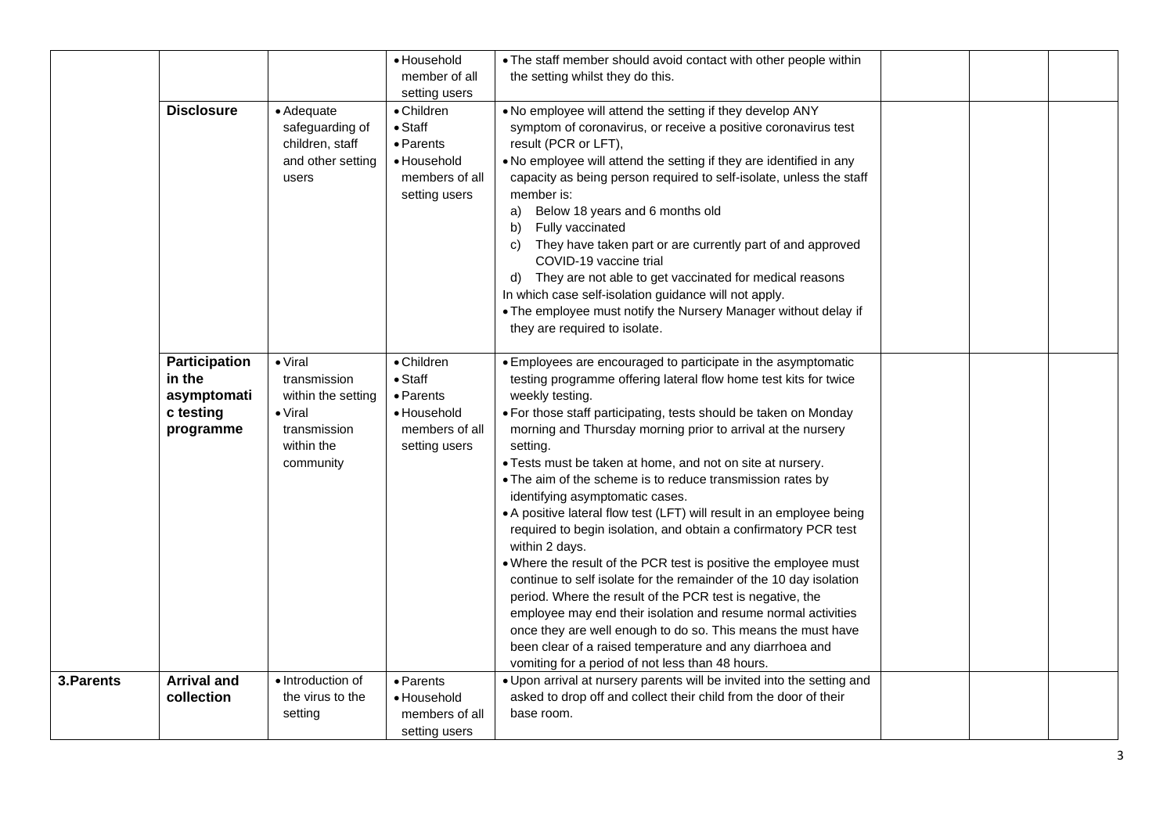|            | <b>Disclosure</b>                                                | • Adequate<br>safeguarding of<br>children, staff<br>and other setting<br>users                                      | · Household<br>member of all<br>setting users<br>• Children<br>$\bullet$ Staff<br>• Parents<br>• Household<br>members of all<br>setting users | • The staff member should avoid contact with other people within<br>the setting whilst they do this.<br>. No employee will attend the setting if they develop ANY<br>symptom of coronavirus, or receive a positive coronavirus test<br>result (PCR or LFT),<br>. No employee will attend the setting if they are identified in any<br>capacity as being person required to self-isolate, unless the staff<br>member is:<br>Below 18 years and 6 months old<br>a)<br>Fully vaccinated<br>b)<br>They have taken part or are currently part of and approved<br>C)                                                                                                                                                                                                                                                                                                                                                                                                                                                                                                                            |  |  |
|------------|------------------------------------------------------------------|---------------------------------------------------------------------------------------------------------------------|-----------------------------------------------------------------------------------------------------------------------------------------------|-------------------------------------------------------------------------------------------------------------------------------------------------------------------------------------------------------------------------------------------------------------------------------------------------------------------------------------------------------------------------------------------------------------------------------------------------------------------------------------------------------------------------------------------------------------------------------------------------------------------------------------------------------------------------------------------------------------------------------------------------------------------------------------------------------------------------------------------------------------------------------------------------------------------------------------------------------------------------------------------------------------------------------------------------------------------------------------------|--|--|
|            |                                                                  |                                                                                                                     |                                                                                                                                               | COVID-19 vaccine trial<br>d) They are not able to get vaccinated for medical reasons<br>In which case self-isolation guidance will not apply.<br>• The employee must notify the Nursery Manager without delay if<br>they are required to isolate.                                                                                                                                                                                                                                                                                                                                                                                                                                                                                                                                                                                                                                                                                                                                                                                                                                         |  |  |
|            | Participation<br>in the<br>asymptomati<br>c testing<br>programme | $\bullet$ Viral<br>transmission<br>within the setting<br>$\bullet$ Viral<br>transmission<br>within the<br>community | • Children<br>$\bullet$ Staff<br>• Parents<br>• Household<br>members of all<br>setting users                                                  | • Employees are encouraged to participate in the asymptomatic<br>testing programme offering lateral flow home test kits for twice<br>weekly testing.<br>• For those staff participating, tests should be taken on Monday<br>morning and Thursday morning prior to arrival at the nursery<br>setting.<br>. Tests must be taken at home, and not on site at nursery.<br>• The aim of the scheme is to reduce transmission rates by<br>identifying asymptomatic cases.<br>• A positive lateral flow test (LFT) will result in an employee being<br>required to begin isolation, and obtain a confirmatory PCR test<br>within 2 days.<br>. Where the result of the PCR test is positive the employee must<br>continue to self isolate for the remainder of the 10 day isolation<br>period. Where the result of the PCR test is negative, the<br>employee may end their isolation and resume normal activities<br>once they are well enough to do so. This means the must have<br>been clear of a raised temperature and any diarrhoea and<br>vomiting for a period of not less than 48 hours. |  |  |
| 3. Parents | <b>Arrival and</b><br>collection                                 | • Introduction of<br>the virus to the<br>setting                                                                    | • Parents<br>• Household<br>members of all<br>setting users                                                                                   | . Upon arrival at nursery parents will be invited into the setting and<br>asked to drop off and collect their child from the door of their<br>base room.                                                                                                                                                                                                                                                                                                                                                                                                                                                                                                                                                                                                                                                                                                                                                                                                                                                                                                                                  |  |  |
|            |                                                                  |                                                                                                                     |                                                                                                                                               |                                                                                                                                                                                                                                                                                                                                                                                                                                                                                                                                                                                                                                                                                                                                                                                                                                                                                                                                                                                                                                                                                           |  |  |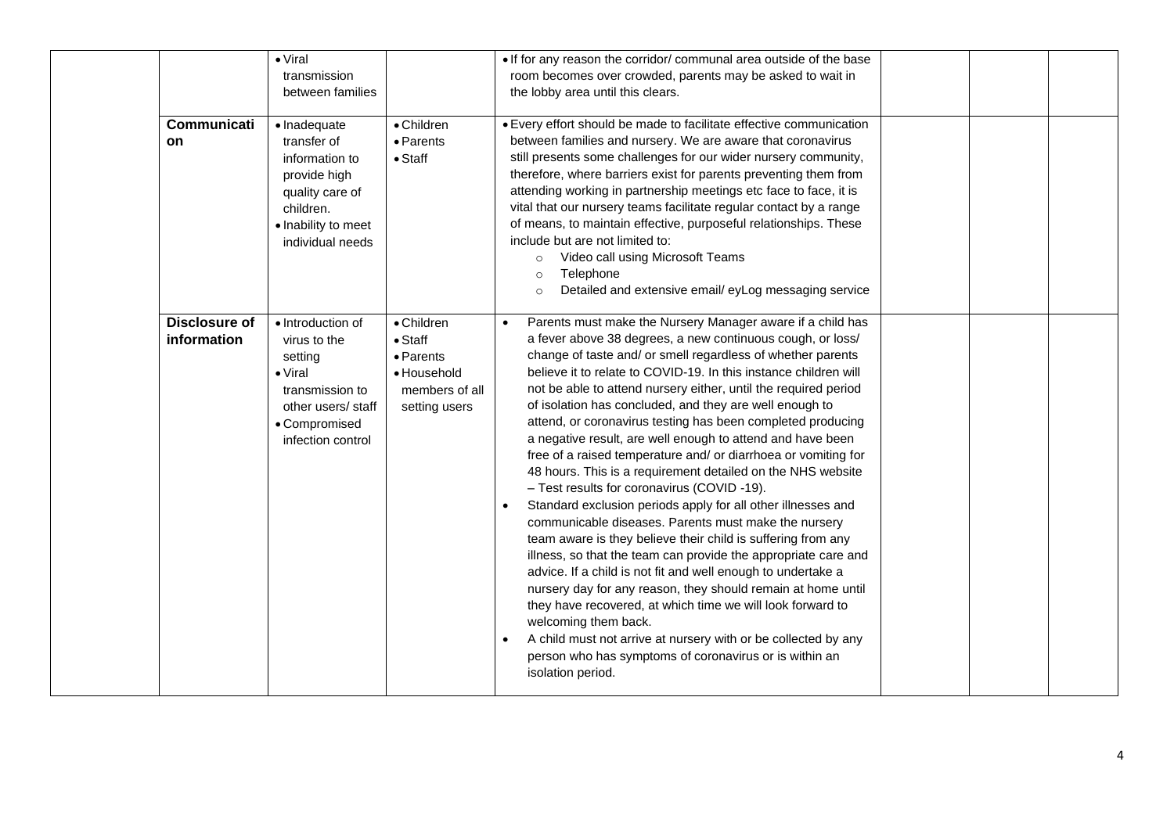|                      | $\overline{\bullet}$ Viral |                 | . If for any reason the corridor/ communal area outside of the base         |  |
|----------------------|----------------------------|-----------------|-----------------------------------------------------------------------------|--|
|                      | transmission               |                 | room becomes over crowded, parents may be asked to wait in                  |  |
|                      | between families           |                 | the lobby area until this clears.                                           |  |
|                      |                            |                 |                                                                             |  |
| <b>Communicati</b>   | · Inadequate               | • Children      | • Every effort should be made to facilitate effective communication         |  |
| on                   | transfer of                | • Parents       | between families and nursery. We are aware that coronavirus                 |  |
|                      | information to             | $\bullet$ Staff | still presents some challenges for our wider nursery community,             |  |
|                      | provide high               |                 | therefore, where barriers exist for parents preventing them from            |  |
|                      | quality care of            |                 | attending working in partnership meetings etc face to face, it is           |  |
|                      | children.                  |                 | vital that our nursery teams facilitate regular contact by a range          |  |
|                      | · Inability to meet        |                 | of means, to maintain effective, purposeful relationships. These            |  |
|                      | individual needs           |                 | include but are not limited to:                                             |  |
|                      |                            |                 | Video call using Microsoft Teams<br>$\circ$                                 |  |
|                      |                            |                 | Telephone<br>$\circ$                                                        |  |
|                      |                            |                 | Detailed and extensive email/ eyLog messaging service<br>$\circ$            |  |
|                      |                            |                 |                                                                             |  |
| <b>Disclosure of</b> | · Introduction of          | • Children      | Parents must make the Nursery Manager aware if a child has<br>$\bullet$     |  |
| information          | virus to the               | $\bullet$ Staff | a fever above 38 degrees, a new continuous cough, or loss/                  |  |
|                      | setting                    | • Parents       | change of taste and/ or smell regardless of whether parents                 |  |
|                      | $\bullet$ Viral            | · Household     | believe it to relate to COVID-19. In this instance children will            |  |
|                      | transmission to            | members of all  | not be able to attend nursery either, until the required period             |  |
|                      | other users/ staff         | setting users   | of isolation has concluded, and they are well enough to                     |  |
|                      | • Compromised              |                 | attend, or coronavirus testing has been completed producing                 |  |
|                      | infection control          |                 | a negative result, are well enough to attend and have been                  |  |
|                      |                            |                 | free of a raised temperature and/ or diarrhoea or vomiting for              |  |
|                      |                            |                 | 48 hours. This is a requirement detailed on the NHS website                 |  |
|                      |                            |                 | - Test results for coronavirus (COVID-19).                                  |  |
|                      |                            |                 | Standard exclusion periods apply for all other illnesses and                |  |
|                      |                            |                 | communicable diseases. Parents must make the nursery                        |  |
|                      |                            |                 | team aware is they believe their child is suffering from any                |  |
|                      |                            |                 | illness, so that the team can provide the appropriate care and              |  |
|                      |                            |                 | advice. If a child is not fit and well enough to undertake a                |  |
|                      |                            |                 | nursery day for any reason, they should remain at home until                |  |
|                      |                            |                 | they have recovered, at which time we will look forward to                  |  |
|                      |                            |                 | welcoming them back.                                                        |  |
|                      |                            |                 | A child must not arrive at nursery with or be collected by any<br>$\bullet$ |  |
|                      |                            |                 | person who has symptoms of coronavirus or is within an                      |  |
|                      |                            |                 | isolation period.                                                           |  |
|                      |                            |                 |                                                                             |  |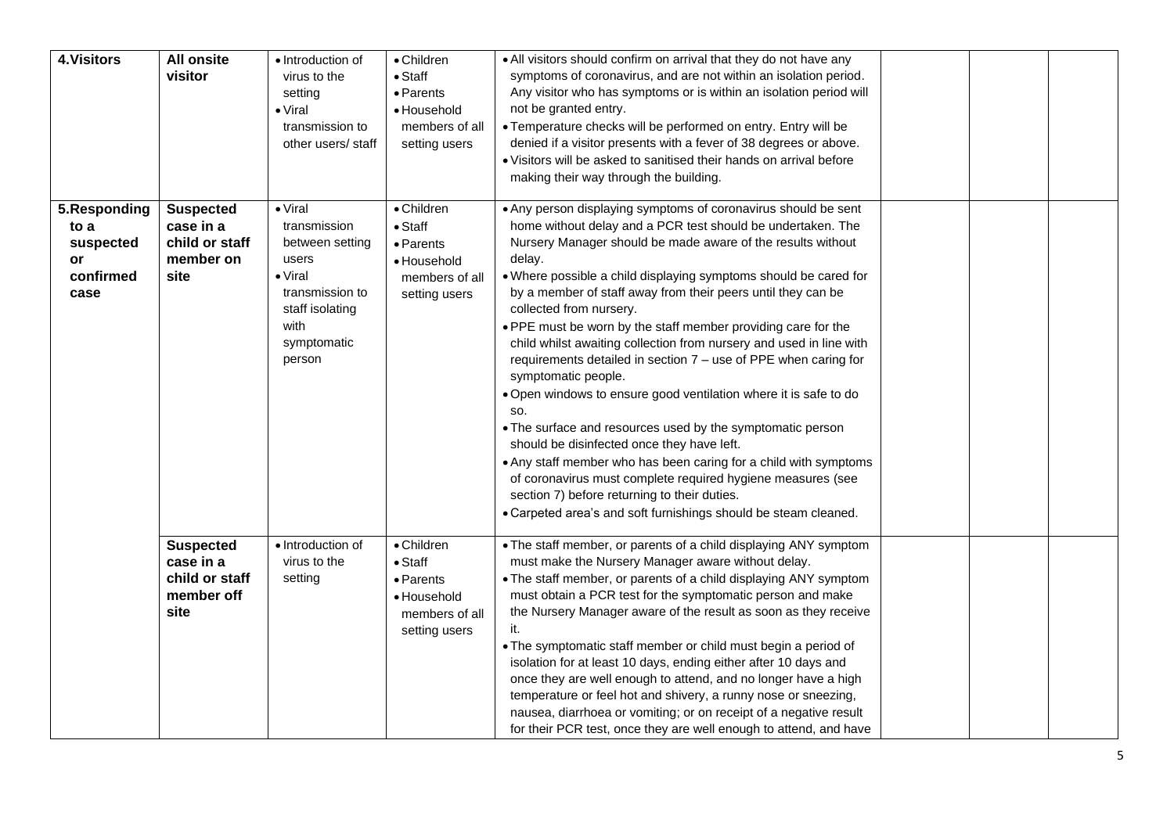| <b>4. Visitors</b>                                           | <b>All onsite</b><br>visitor                                          | · Introduction of<br>virus to the<br>setting<br>$\bullet$ Viral<br>transmission to<br>other users/staff                                               | • Children<br>$\bullet$ Staff<br>• Parents<br>• Household<br>members of all<br>setting users | • All visitors should confirm on arrival that they do not have any<br>symptoms of coronavirus, and are not within an isolation period.<br>Any visitor who has symptoms or is within an isolation period will<br>not be granted entry.<br>• Temperature checks will be performed on entry. Entry will be<br>denied if a visitor presents with a fever of 38 degrees or above.<br>• Visitors will be asked to sanitised their hands on arrival before<br>making their way through the building.                                                                                                                                                                                                                                                                                                                                                                                                                                                                                                                                                        |  |  |
|--------------------------------------------------------------|-----------------------------------------------------------------------|-------------------------------------------------------------------------------------------------------------------------------------------------------|----------------------------------------------------------------------------------------------|------------------------------------------------------------------------------------------------------------------------------------------------------------------------------------------------------------------------------------------------------------------------------------------------------------------------------------------------------------------------------------------------------------------------------------------------------------------------------------------------------------------------------------------------------------------------------------------------------------------------------------------------------------------------------------------------------------------------------------------------------------------------------------------------------------------------------------------------------------------------------------------------------------------------------------------------------------------------------------------------------------------------------------------------------|--|--|
| 5.Responding<br>to a<br>suspected<br>or<br>confirmed<br>case | <b>Suspected</b><br>case in a<br>child or staff<br>member on<br>site  | $\bullet$ Viral<br>transmission<br>between setting<br>users<br>$\bullet$ Viral<br>transmission to<br>staff isolating<br>with<br>symptomatic<br>person | • Children<br>$\bullet$ Staff<br>• Parents<br>• Household<br>members of all<br>setting users | • Any person displaying symptoms of coronavirus should be sent<br>home without delay and a PCR test should be undertaken. The<br>Nursery Manager should be made aware of the results without<br>delay.<br>. Where possible a child displaying symptoms should be cared for<br>by a member of staff away from their peers until they can be<br>collected from nursery.<br>. PPE must be worn by the staff member providing care for the<br>child whilst awaiting collection from nursery and used in line with<br>requirements detailed in section 7 - use of PPE when caring for<br>symptomatic people.<br>. Open windows to ensure good ventilation where it is safe to do<br>SO.<br>• The surface and resources used by the symptomatic person<br>should be disinfected once they have left.<br>• Any staff member who has been caring for a child with symptoms<br>of coronavirus must complete required hygiene measures (see<br>section 7) before returning to their duties.<br>• Carpeted area's and soft furnishings should be steam cleaned. |  |  |
|                                                              | <b>Suspected</b><br>case in a<br>child or staff<br>member off<br>site | · Introduction of<br>virus to the<br>setting                                                                                                          | • Children<br>$\bullet$ Staff<br>• Parents<br>• Household<br>members of all<br>setting users | • The staff member, or parents of a child displaying ANY symptom<br>must make the Nursery Manager aware without delay.<br>• The staff member, or parents of a child displaying ANY symptom<br>must obtain a PCR test for the symptomatic person and make<br>the Nursery Manager aware of the result as soon as they receive<br>• The symptomatic staff member or child must begin a period of<br>isolation for at least 10 days, ending either after 10 days and<br>once they are well enough to attend, and no longer have a high<br>temperature or feel hot and shivery, a runny nose or sneezing,<br>nausea, diarrhoea or vomiting; or on receipt of a negative result<br>for their PCR test, once they are well enough to attend, and have                                                                                                                                                                                                                                                                                                       |  |  |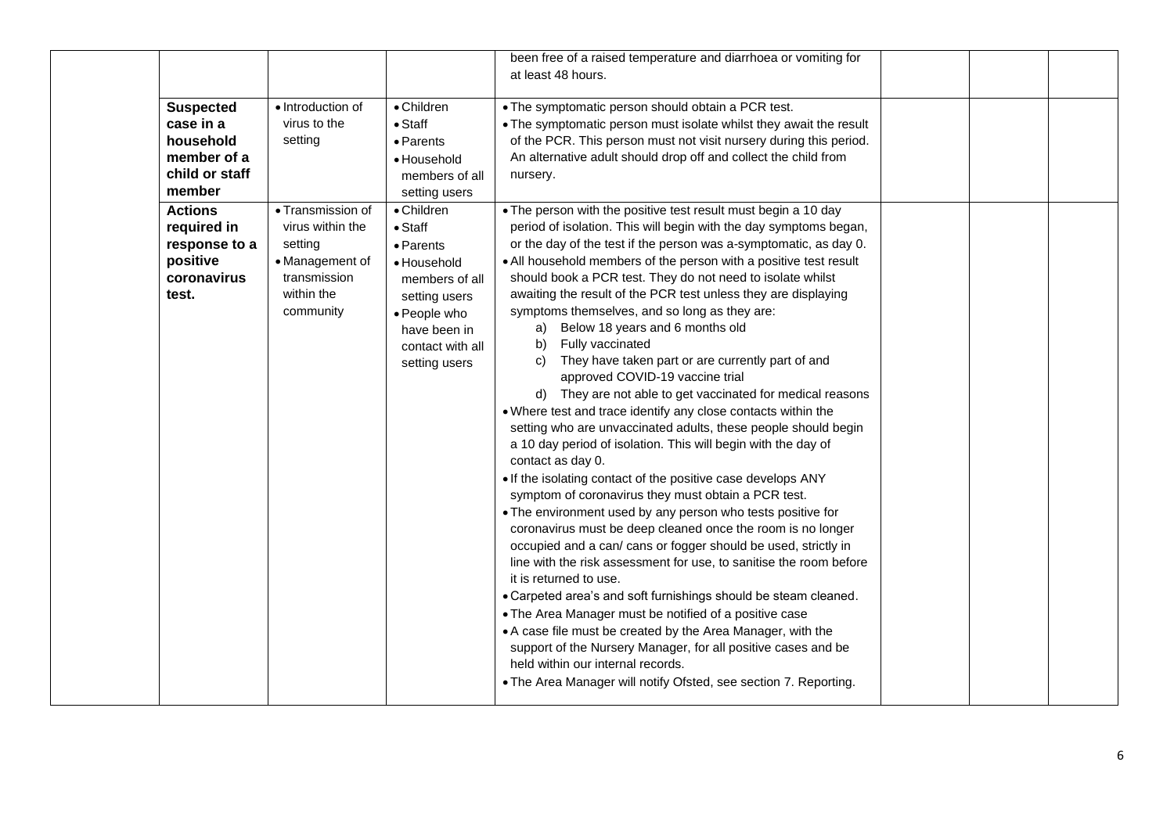|                                                                                       |                                                                                                                |                                                                                                                                                                   | been free of a raised temperature and diarrhoea or vomiting for<br>at least 48 hours.                                                                                                                                                                                                                                                                                                                                                                                                                                                                                                                                                                                                                                                                                                                                                                                                                                                                                                                                                                                                                                                                                                                                                                                                                                                                                                                                                                                                                                                                                                                                                                                                                               |  |  |
|---------------------------------------------------------------------------------------|----------------------------------------------------------------------------------------------------------------|-------------------------------------------------------------------------------------------------------------------------------------------------------------------|---------------------------------------------------------------------------------------------------------------------------------------------------------------------------------------------------------------------------------------------------------------------------------------------------------------------------------------------------------------------------------------------------------------------------------------------------------------------------------------------------------------------------------------------------------------------------------------------------------------------------------------------------------------------------------------------------------------------------------------------------------------------------------------------------------------------------------------------------------------------------------------------------------------------------------------------------------------------------------------------------------------------------------------------------------------------------------------------------------------------------------------------------------------------------------------------------------------------------------------------------------------------------------------------------------------------------------------------------------------------------------------------------------------------------------------------------------------------------------------------------------------------------------------------------------------------------------------------------------------------------------------------------------------------------------------------------------------------|--|--|
| <b>Suspected</b><br>case in a<br>household<br>member of a<br>child or staff<br>member | · Introduction of<br>virus to the<br>setting                                                                   | • Children<br>$\bullet$ Staff<br>• Parents<br>· Household<br>members of all<br>setting users                                                                      | • The symptomatic person should obtain a PCR test.<br>• The symptomatic person must isolate whilst they await the result<br>of the PCR. This person must not visit nursery during this period.<br>An alternative adult should drop off and collect the child from<br>nursery.                                                                                                                                                                                                                                                                                                                                                                                                                                                                                                                                                                                                                                                                                                                                                                                                                                                                                                                                                                                                                                                                                                                                                                                                                                                                                                                                                                                                                                       |  |  |
| <b>Actions</b><br>required in<br>response to a<br>positive<br>coronavirus<br>test.    | · Transmission of<br>virus within the<br>setting<br>• Management of<br>transmission<br>within the<br>community | • Children<br>$\bullet$ Staff<br>• Parents<br>• Household<br>members of all<br>setting users<br>• People who<br>have been in<br>contact with all<br>setting users | • The person with the positive test result must begin a 10 day<br>period of isolation. This will begin with the day symptoms began,<br>or the day of the test if the person was a-symptomatic, as day 0.<br>• All household members of the person with a positive test result<br>should book a PCR test. They do not need to isolate whilst<br>awaiting the result of the PCR test unless they are displaying<br>symptoms themselves, and so long as they are:<br>Below 18 years and 6 months old<br>a)<br>Fully vaccinated<br>b)<br>They have taken part or are currently part of and<br>C)<br>approved COVID-19 vaccine trial<br>d) They are not able to get vaccinated for medical reasons<br>. Where test and trace identify any close contacts within the<br>setting who are unvaccinated adults, these people should begin<br>a 10 day period of isolation. This will begin with the day of<br>contact as day 0.<br>. If the isolating contact of the positive case develops ANY<br>symptom of coronavirus they must obtain a PCR test.<br>• The environment used by any person who tests positive for<br>coronavirus must be deep cleaned once the room is no longer<br>occupied and a can/ cans or fogger should be used, strictly in<br>line with the risk assessment for use, to sanitise the room before<br>it is returned to use.<br>• Carpeted area's and soft furnishings should be steam cleaned.<br>• The Area Manager must be notified of a positive case<br>• A case file must be created by the Area Manager, with the<br>support of the Nursery Manager, for all positive cases and be<br>held within our internal records.<br>. The Area Manager will notify Ofsted, see section 7. Reporting. |  |  |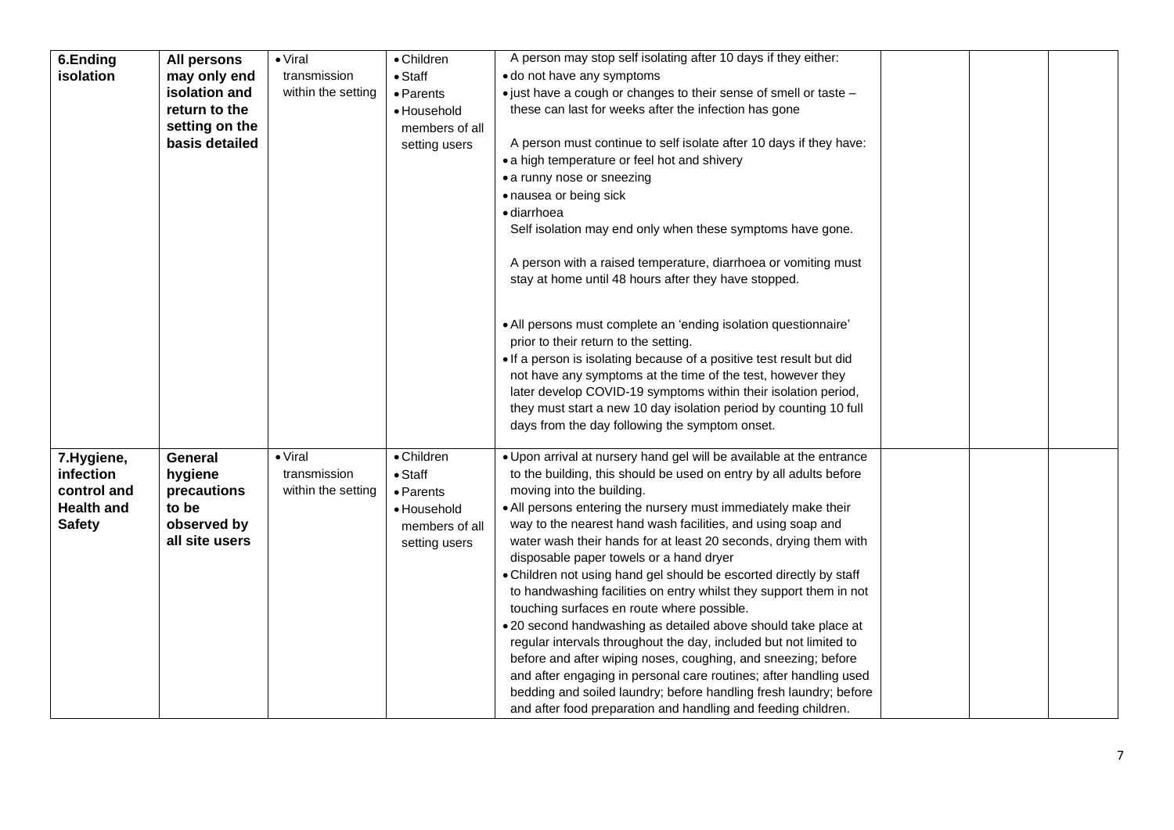| 6.Ending          | All persons    | $\bullet$ Viral    | • Children      | A person may stop self isolating after 10 days if they either:       |  |  |
|-------------------|----------------|--------------------|-----------------|----------------------------------------------------------------------|--|--|
| isolation         | may only end   | transmission       | $\bullet$ Staff | • do not have any symptoms                                           |  |  |
|                   | isolation and  | within the setting | • Parents       | • just have a cough or changes to their sense of smell or taste -    |  |  |
|                   | return to the  |                    |                 | these can last for weeks after the infection has gone                |  |  |
|                   | setting on the |                    | • Household     |                                                                      |  |  |
|                   | basis detailed |                    | members of all  | A person must continue to self isolate after 10 days if they have:   |  |  |
|                   |                |                    | setting users   | • a high temperature or feel hot and shivery                         |  |  |
|                   |                |                    |                 |                                                                      |  |  |
|                   |                |                    |                 | • a runny nose or sneezing                                           |  |  |
|                   |                |                    |                 | · nausea or being sick                                               |  |  |
|                   |                |                    |                 | • diarrhoea                                                          |  |  |
|                   |                |                    |                 | Self isolation may end only when these symptoms have gone.           |  |  |
|                   |                |                    |                 | A person with a raised temperature, diarrhoea or vomiting must       |  |  |
|                   |                |                    |                 | stay at home until 48 hours after they have stopped.                 |  |  |
|                   |                |                    |                 |                                                                      |  |  |
|                   |                |                    |                 | • All persons must complete an 'ending isolation questionnaire'      |  |  |
|                   |                |                    |                 | prior to their return to the setting.                                |  |  |
|                   |                |                    |                 | . If a person is isolating because of a positive test result but did |  |  |
|                   |                |                    |                 | not have any symptoms at the time of the test, however they          |  |  |
|                   |                |                    |                 | later develop COVID-19 symptoms within their isolation period,       |  |  |
|                   |                |                    |                 | they must start a new 10 day isolation period by counting 10 full    |  |  |
|                   |                |                    |                 | days from the day following the symptom onset.                       |  |  |
| 7.Hygiene,        | <b>General</b> | $\bullet$ Viral    | • Children      | . Upon arrival at nursery hand gel will be available at the entrance |  |  |
| infection         | hygiene        | transmission       | $\bullet$ Staff | to the building, this should be used on entry by all adults before   |  |  |
| control and       | precautions    | within the setting | • Parents       | moving into the building.                                            |  |  |
| <b>Health and</b> | to be          |                    | • Household     | • All persons entering the nursery must immediately make their       |  |  |
| <b>Safety</b>     | observed by    |                    | members of all  | way to the nearest hand wash facilities, and using soap and          |  |  |
|                   | all site users |                    | setting users   | water wash their hands for at least 20 seconds, drying them with     |  |  |
|                   |                |                    |                 | disposable paper towels or a hand dryer                              |  |  |
|                   |                |                    |                 | . Children not using hand gel should be escorted directly by staff   |  |  |
|                   |                |                    |                 | to handwashing facilities on entry whilst they support them in not   |  |  |
|                   |                |                    |                 | touching surfaces en route where possible.                           |  |  |
|                   |                |                    |                 | • 20 second handwashing as detailed above should take place at       |  |  |
|                   |                |                    |                 | regular intervals throughout the day, included but not limited to    |  |  |
|                   |                |                    |                 | before and after wiping noses, coughing, and sneezing; before        |  |  |
|                   |                |                    |                 | and after engaging in personal care routines; after handling used    |  |  |
|                   |                |                    |                 | bedding and soiled laundry; before handling fresh laundry; before    |  |  |
|                   |                |                    |                 | and after food preparation and handling and feeding children.        |  |  |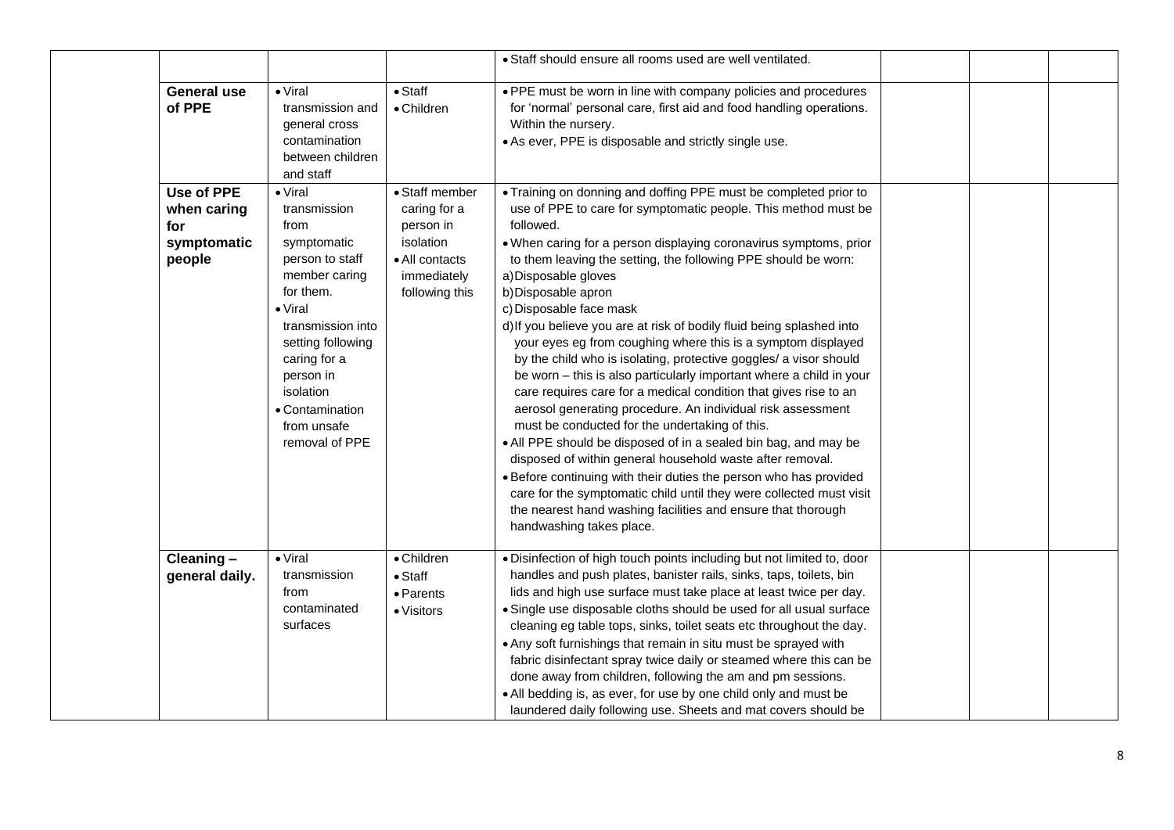|                                                                  |                                                                                                                                                                                                                                                                    |                                                                                                             | • Staff should ensure all rooms used are well ventilated.                                                                                                                                                                                                                                                                                                                                                                                                                                                                                                                                                                                                                                                                                                                                                                                                                                                                                                                                                                                                                                                                                                                                                          |  |  |
|------------------------------------------------------------------|--------------------------------------------------------------------------------------------------------------------------------------------------------------------------------------------------------------------------------------------------------------------|-------------------------------------------------------------------------------------------------------------|--------------------------------------------------------------------------------------------------------------------------------------------------------------------------------------------------------------------------------------------------------------------------------------------------------------------------------------------------------------------------------------------------------------------------------------------------------------------------------------------------------------------------------------------------------------------------------------------------------------------------------------------------------------------------------------------------------------------------------------------------------------------------------------------------------------------------------------------------------------------------------------------------------------------------------------------------------------------------------------------------------------------------------------------------------------------------------------------------------------------------------------------------------------------------------------------------------------------|--|--|
| <b>General use</b><br>of PPE                                     | $\bullet$ Viral<br>transmission and<br>general cross<br>contamination<br>between children<br>and staff                                                                                                                                                             | $\bullet$ Staff<br>• Children                                                                               | . PPE must be worn in line with company policies and procedures<br>for 'normal' personal care, first aid and food handling operations.<br>Within the nursery.<br>• As ever, PPE is disposable and strictly single use.                                                                                                                                                                                                                                                                                                                                                                                                                                                                                                                                                                                                                                                                                                                                                                                                                                                                                                                                                                                             |  |  |
| <b>Use of PPE</b><br>when caring<br>for<br>symptomatic<br>people | $\bullet$ Viral<br>transmission<br>from<br>symptomatic<br>person to staff<br>member caring<br>for them.<br>$\bullet$ Viral<br>transmission into<br>setting following<br>caring for a<br>person in<br>isolation<br>• Contamination<br>from unsafe<br>removal of PPE | • Staff member<br>caring for a<br>person in<br>isolation<br>• All contacts<br>immediately<br>following this | • Training on donning and doffing PPE must be completed prior to<br>use of PPE to care for symptomatic people. This method must be<br>followed.<br>. When caring for a person displaying coronavirus symptoms, prior<br>to them leaving the setting, the following PPE should be worn:<br>a) Disposable gloves<br>b) Disposable apron<br>c) Disposable face mask<br>d) If you believe you are at risk of bodily fluid being splashed into<br>your eyes eg from coughing where this is a symptom displayed<br>by the child who is isolating, protective goggles/ a visor should<br>be worn - this is also particularly important where a child in your<br>care requires care for a medical condition that gives rise to an<br>aerosol generating procedure. An individual risk assessment<br>must be conducted for the undertaking of this.<br>• All PPE should be disposed of in a sealed bin bag, and may be<br>disposed of within general household waste after removal.<br>• Before continuing with their duties the person who has provided<br>care for the symptomatic child until they were collected must visit<br>the nearest hand washing facilities and ensure that thorough<br>handwashing takes place. |  |  |
| Cleaning-<br>general daily.                                      | $\bullet$ Viral<br>transmission<br>from<br>contaminated<br>surfaces                                                                                                                                                                                                | • Children<br>$\bullet$ Staff<br>• Parents<br>• Visitors                                                    | · Disinfection of high touch points including but not limited to, door<br>handles and push plates, banister rails, sinks, taps, toilets, bin<br>lids and high use surface must take place at least twice per day.<br>• Single use disposable cloths should be used for all usual surface<br>cleaning eg table tops, sinks, toilet seats etc throughout the day.<br>• Any soft furnishings that remain in situ must be sprayed with<br>fabric disinfectant spray twice daily or steamed where this can be<br>done away from children, following the am and pm sessions.<br>• All bedding is, as ever, for use by one child only and must be<br>laundered daily following use. Sheets and mat covers should be                                                                                                                                                                                                                                                                                                                                                                                                                                                                                                       |  |  |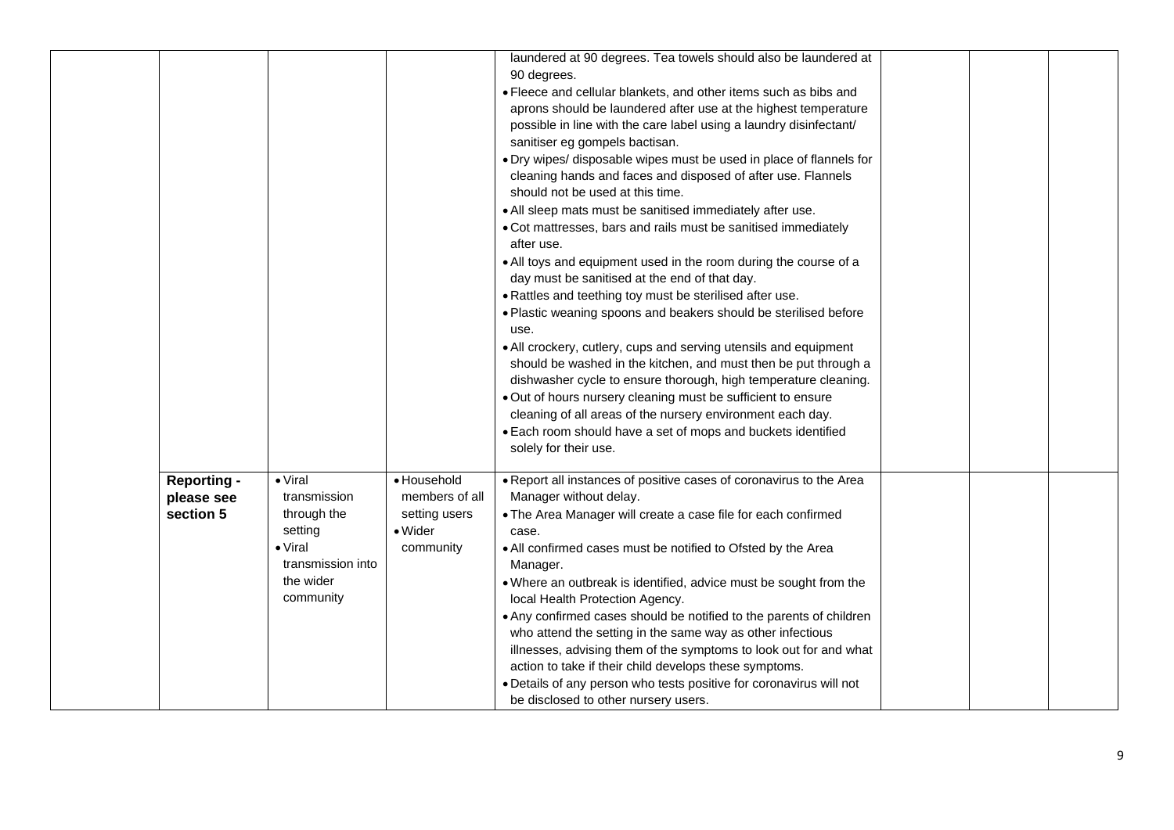|                                               |                                                                                                                             |                                                                        | laundered at 90 degrees. Tea towels should also be laundered at<br>90 degrees.<br>. Fleece and cellular blankets, and other items such as bibs and<br>aprons should be laundered after use at the highest temperature<br>possible in line with the care label using a laundry disinfectant/<br>sanitiser eg gompels bactisan.<br>. Dry wipes/ disposable wipes must be used in place of flannels for<br>cleaning hands and faces and disposed of after use. Flannels<br>should not be used at this time.<br>. All sleep mats must be sanitised immediately after use.<br>• Cot mattresses, bars and rails must be sanitised immediately<br>after use.<br>• All toys and equipment used in the room during the course of a<br>day must be sanitised at the end of that day.<br>. Rattles and teething toy must be sterilised after use.<br>. Plastic weaning spoons and beakers should be sterilised before<br>use.<br>• All crockery, cutlery, cups and serving utensils and equipment<br>should be washed in the kitchen, and must then be put through a<br>dishwasher cycle to ensure thorough, high temperature cleaning.<br>. Out of hours nursery cleaning must be sufficient to ensure<br>cleaning of all areas of the nursery environment each day.<br>• Each room should have a set of mops and buckets identified<br>solely for their use. |  |  |
|-----------------------------------------------|-----------------------------------------------------------------------------------------------------------------------------|------------------------------------------------------------------------|-----------------------------------------------------------------------------------------------------------------------------------------------------------------------------------------------------------------------------------------------------------------------------------------------------------------------------------------------------------------------------------------------------------------------------------------------------------------------------------------------------------------------------------------------------------------------------------------------------------------------------------------------------------------------------------------------------------------------------------------------------------------------------------------------------------------------------------------------------------------------------------------------------------------------------------------------------------------------------------------------------------------------------------------------------------------------------------------------------------------------------------------------------------------------------------------------------------------------------------------------------------------------------------------------------------------------------------------------------|--|--|
| <b>Reporting -</b><br>please see<br>section 5 | $\bullet$ Viral<br>transmission<br>through the<br>setting<br>$\bullet$ Viral<br>transmission into<br>the wider<br>community | · Household<br>members of all<br>setting users<br>• Wider<br>community | . Report all instances of positive cases of coronavirus to the Area<br>Manager without delay.<br>. The Area Manager will create a case file for each confirmed<br>case.<br>• All confirmed cases must be notified to Ofsted by the Area<br>Manager.<br>. Where an outbreak is identified, advice must be sought from the<br>local Health Protection Agency.<br>• Any confirmed cases should be notified to the parents of children<br>who attend the setting in the same way as other infectious<br>illnesses, advising them of the symptoms to look out for and what<br>action to take if their child develops these symptoms.<br>. Details of any person who tests positive for coronavirus will not<br>be disclosed to other nursery users.                                                                                                                                                                                                                                                                                                                                                                                                                                                                                                                                                                                                      |  |  |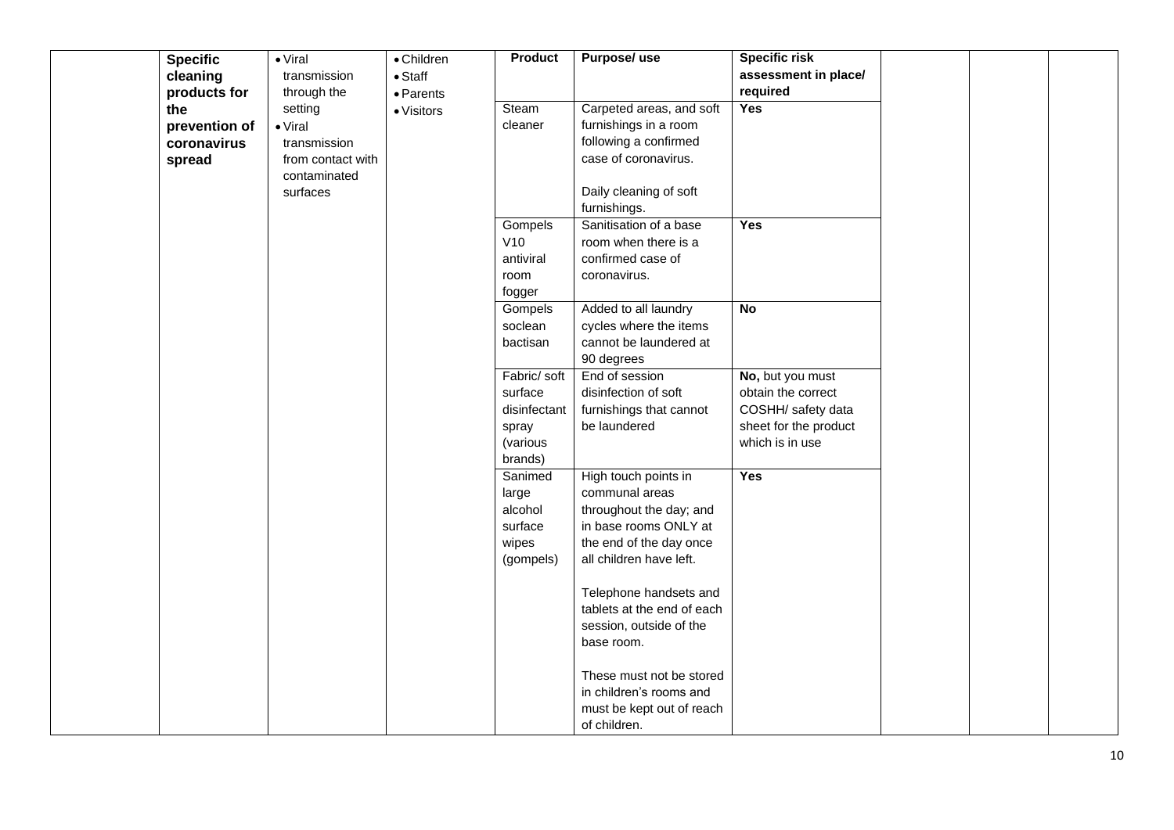| <b>Specific</b> | $\bullet$ Viral   | • Children      | <b>Product</b> | Purpose/use                | <b>Specific risk</b>  |  |  |
|-----------------|-------------------|-----------------|----------------|----------------------------|-----------------------|--|--|
| cleaning        | transmission      | $\bullet$ Staff |                |                            | assessment in place/  |  |  |
| products for    | through the       | • Parents       |                |                            | required              |  |  |
| the             | setting           | • Visitors      | Steam          | Carpeted areas, and soft   | Yes                   |  |  |
| prevention of   | $\bullet$ Viral   |                 | cleaner        | furnishings in a room      |                       |  |  |
| coronavirus     | transmission      |                 |                | following a confirmed      |                       |  |  |
| spread          | from contact with |                 |                | case of coronavirus.       |                       |  |  |
|                 | contaminated      |                 |                |                            |                       |  |  |
|                 | surfaces          |                 |                | Daily cleaning of soft     |                       |  |  |
|                 |                   |                 |                | furnishings.               |                       |  |  |
|                 |                   |                 | Gompels        | Sanitisation of a base     | Yes                   |  |  |
|                 |                   |                 | V10            | room when there is a       |                       |  |  |
|                 |                   |                 | antiviral      | confirmed case of          |                       |  |  |
|                 |                   |                 | room           | coronavirus.               |                       |  |  |
|                 |                   |                 | fogger         |                            |                       |  |  |
|                 |                   |                 | Gompels        | Added to all laundry       | $\overline{N}$        |  |  |
|                 |                   |                 | soclean        | cycles where the items     |                       |  |  |
|                 |                   |                 | bactisan       | cannot be laundered at     |                       |  |  |
|                 |                   |                 |                | 90 degrees                 |                       |  |  |
|                 |                   |                 | Fabric/ soft   | End of session             | No, but you must      |  |  |
|                 |                   |                 | surface        | disinfection of soft       | obtain the correct    |  |  |
|                 |                   |                 | disinfectant   | furnishings that cannot    | COSHH/ safety data    |  |  |
|                 |                   |                 | spray          | be laundered               | sheet for the product |  |  |
|                 |                   |                 | (various       |                            | which is in use       |  |  |
|                 |                   |                 | brands)        |                            |                       |  |  |
|                 |                   |                 | Sanimed        | High touch points in       | Yes                   |  |  |
|                 |                   |                 | large          | communal areas             |                       |  |  |
|                 |                   |                 | alcohol        | throughout the day; and    |                       |  |  |
|                 |                   |                 | surface        | in base rooms ONLY at      |                       |  |  |
|                 |                   |                 | wipes          | the end of the day once    |                       |  |  |
|                 |                   |                 | (gompels)      | all children have left.    |                       |  |  |
|                 |                   |                 |                | Telephone handsets and     |                       |  |  |
|                 |                   |                 |                | tablets at the end of each |                       |  |  |
|                 |                   |                 |                | session, outside of the    |                       |  |  |
|                 |                   |                 |                | base room.                 |                       |  |  |
|                 |                   |                 |                |                            |                       |  |  |
|                 |                   |                 |                | These must not be stored   |                       |  |  |
|                 |                   |                 |                | in children's rooms and    |                       |  |  |
|                 |                   |                 |                | must be kept out of reach  |                       |  |  |
|                 |                   |                 |                | of children.               |                       |  |  |
|                 |                   |                 |                |                            |                       |  |  |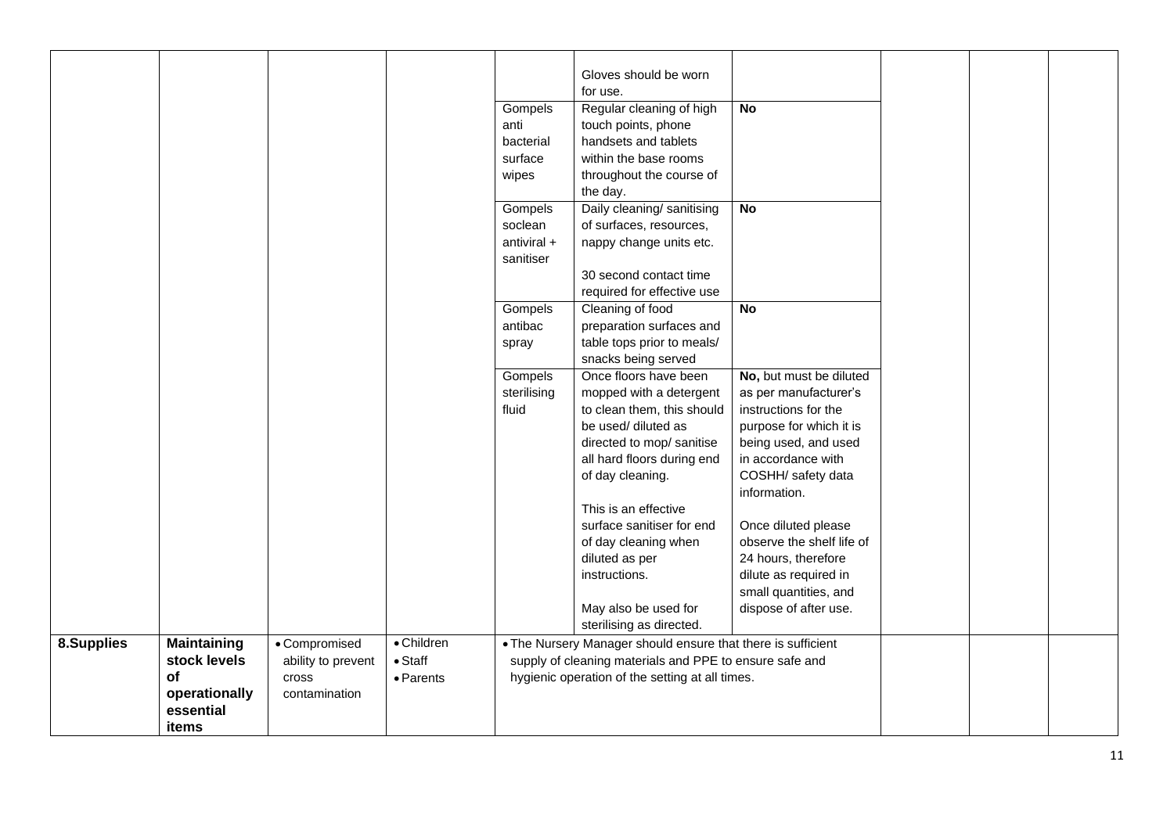|            |                    |                        |                 |             | Gloves should be worn                                        |                           |  |  |
|------------|--------------------|------------------------|-----------------|-------------|--------------------------------------------------------------|---------------------------|--|--|
|            |                    |                        |                 |             | for use.                                                     |                           |  |  |
|            |                    |                        |                 | Gompels     | Regular cleaning of high                                     | <b>No</b>                 |  |  |
|            |                    |                        |                 | anti        | touch points, phone                                          |                           |  |  |
|            |                    |                        |                 | bacterial   | handsets and tablets                                         |                           |  |  |
|            |                    |                        |                 | surface     | within the base rooms                                        |                           |  |  |
|            |                    |                        |                 | wipes       | throughout the course of                                     |                           |  |  |
|            |                    |                        |                 |             | the day.                                                     |                           |  |  |
|            |                    |                        |                 | Gompels     | Daily cleaning/ sanitising                                   | $\overline{N}$            |  |  |
|            |                    |                        |                 | soclean     | of surfaces, resources,                                      |                           |  |  |
|            |                    |                        |                 | antiviral + | nappy change units etc.                                      |                           |  |  |
|            |                    |                        |                 | sanitiser   |                                                              |                           |  |  |
|            |                    |                        |                 |             | 30 second contact time                                       |                           |  |  |
|            |                    |                        |                 |             | required for effective use                                   |                           |  |  |
|            |                    |                        |                 | Gompels     | Cleaning of food                                             | <b>No</b>                 |  |  |
|            |                    |                        |                 | antibac     | preparation surfaces and                                     |                           |  |  |
|            |                    |                        |                 | spray       | table tops prior to meals/                                   |                           |  |  |
|            |                    |                        |                 |             | snacks being served                                          |                           |  |  |
|            |                    |                        |                 | Gompels     | Once floors have been                                        | No, but must be diluted   |  |  |
|            |                    |                        |                 | sterilising | mopped with a detergent                                      | as per manufacturer's     |  |  |
|            |                    |                        |                 | fluid       | to clean them, this should                                   | instructions for the      |  |  |
|            |                    |                        |                 |             | be used/ diluted as                                          | purpose for which it is   |  |  |
|            |                    |                        |                 |             | directed to mop/ sanitise                                    | being used, and used      |  |  |
|            |                    |                        |                 |             | all hard floors during end                                   | in accordance with        |  |  |
|            |                    |                        |                 |             | of day cleaning.                                             | COSHH/ safety data        |  |  |
|            |                    |                        |                 |             |                                                              | information.              |  |  |
|            |                    |                        |                 |             | This is an effective                                         |                           |  |  |
|            |                    |                        |                 |             | surface sanitiser for end                                    | Once diluted please       |  |  |
|            |                    |                        |                 |             | of day cleaning when                                         | observe the shelf life of |  |  |
|            |                    |                        |                 |             | diluted as per                                               | 24 hours, therefore       |  |  |
|            |                    |                        |                 |             | instructions.                                                | dilute as required in     |  |  |
|            |                    |                        |                 |             |                                                              | small quantities, and     |  |  |
|            |                    |                        |                 |             | May also be used for                                         | dispose of after use.     |  |  |
|            |                    |                        | • Children      |             | sterilising as directed.                                     |                           |  |  |
| 8.Supplies | <b>Maintaining</b> | • Compromised          |                 |             | . The Nursery Manager should ensure that there is sufficient |                           |  |  |
|            | stock levels<br>of | ability to prevent     | $\bullet$ Staff |             | supply of cleaning materials and PPE to ensure safe and      |                           |  |  |
|            | operationally      | cross<br>contamination | • Parents       |             | hygienic operation of the setting at all times.              |                           |  |  |
|            | essential          |                        |                 |             |                                                              |                           |  |  |
|            | items              |                        |                 |             |                                                              |                           |  |  |
|            |                    |                        |                 |             |                                                              |                           |  |  |